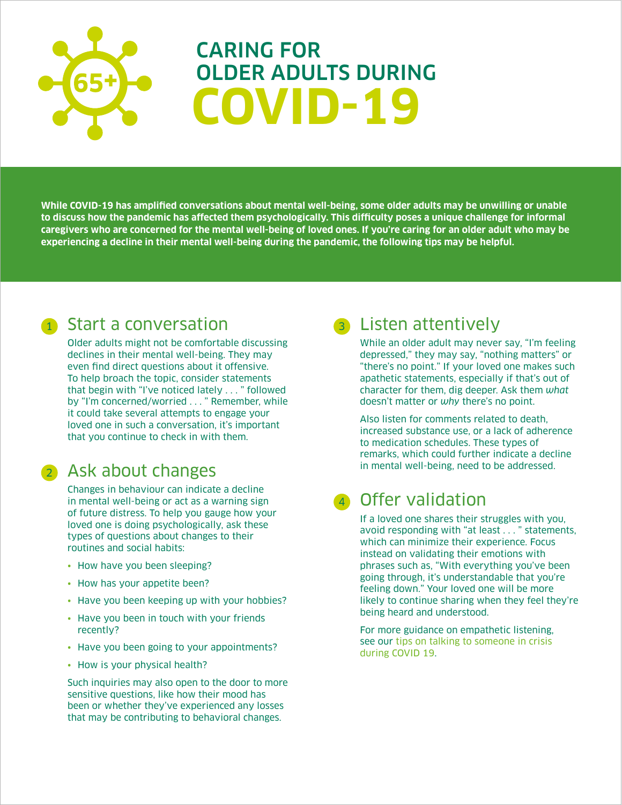# CARING FOR OLDER ADULTS DURING **COVID-19**

**While COVID-19 has amplified conversations about mental well-being, some older adults may be unwilling or unable to discuss how the pandemic has affected them psychologically. This difficulty poses a unique challenge for informal caregivers who are concerned for the mental well-being of loved ones. If you're caring for an older adult who may be experiencing a decline in their mental well-being during the pandemic, the following tips may be helpful.** 

#### <sup>1</sup> Start a conversation

Older adults might not be comfortable discussing declines in their mental well-being. They may even find direct questions about it offensive. To help broach the topic, consider statements that begin with "I've noticed lately . . . " followed by "I'm concerned/worried . . . " Remember, while it could take several attempts to engage your loved one in such a conversation, it's important that you continue to check in with them.

#### <sup>2</sup> Ask about changes

Changes in behaviour can indicate a decline in mental well-being or act as a warning sign of future distress. To help you gauge how your loved one is doing psychologically, ask these types of questions about changes to their routines and social habits:

- How have you been sleeping?
- How has your appetite been?
- Have you been keeping up with your hobbies?
- Have you been in touch with your friends recently?
- Have you been going to your appointments?
- How is your physical health?

Such inquiries may also open to the door to more sensitive questions, like how their mood has been or whether they've experienced any losses that may be contributing to behavioral changes.

## **Listen attentively**

While an older adult may never say, "I'm feeling depressed," they may say, "nothing matters" or "there's no point." If your loved one makes such apathetic statements, especially if that's out of character for them, dig deeper. Ask them *what* doesn't matter or *why* there's no point.

Also listen for comments related to death, increased substance use, or a lack of adherence to medication schedules. These types of remarks, which could further indicate a decline in mental well-being, need to be addressed.

## <sup>4</sup> Offer validation

If a loved one shares their struggles with you, avoid responding with "at least . . . " statements, which can minimize their experience. Focus instead on validating their emotions with phrases such as, "With everything you've been going through, it's understandable that you're feeling down." Your loved one will be more likely to continue sharing when they feel they're being heard and understood.

For more guidance on empathetic listening, see our [tips on talking to someone in crisis](https://www.mentalhealthcommission.ca/English/media/4315)  [during COVID 19.](https://www.mentalhealthcommission.ca/English/media/4315)